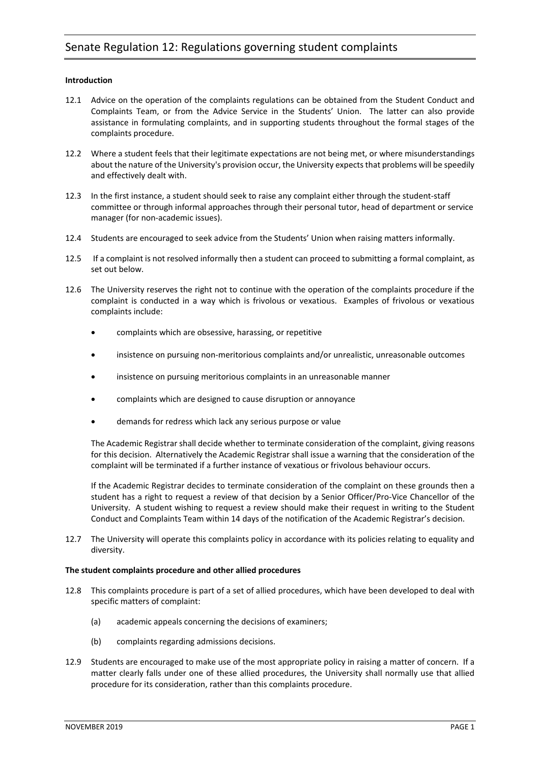# **Introduction**

- 12.1 Advice on the operation of the complaints regulations can be obtained from the Student Conduct and Complaints Team, or from the Advice Service in the Students' Union. The latter can also provide assistance in formulating complaints, and in supporting students throughout the formal stages of the complaints procedure.
- 12.2 Where a student feels that their legitimate expectations are not being met, or where misunderstandings about the nature of the University's provision occur, the University expects that problems will be speedily and effectively dealt with.
- 12.3 In the first instance, a student should seek to raise any complaint either through the student-staff committee or through informal approaches through their personal tutor, head of department or service manager (for non-academic issues).
- 12.4 Students are encouraged to seek advice from the Students' Union when raising matters informally.
- 12.5 If a complaint is not resolved informally then a student can proceed to submitting a formal complaint, as set out below.
- 12.6 The University reserves the right not to continue with the operation of the complaints procedure if the complaint is conducted in a way which is frivolous or vexatious. Examples of frivolous or vexatious complaints include:
	- complaints which are obsessive, harassing, or repetitive
	- insistence on pursuing non-meritorious complaints and/or unrealistic, unreasonable outcomes
	- insistence on pursuing meritorious complaints in an unreasonable manner
	- complaints which are designed to cause disruption or annoyance
	- demands for redress which lack any serious purpose or value

The Academic Registrar shall decide whether to terminate consideration of the complaint, giving reasons for this decision. Alternatively the Academic Registrar shall issue a warning that the consideration of the complaint will be terminated if a further instance of vexatious or frivolous behaviour occurs.

If the Academic Registrar decides to terminate consideration of the complaint on these grounds then a student has a right to request a review of that decision by a Senior Officer/Pro-Vice Chancellor of the University. A student wishing to request a review should make their request in writing to the Student Conduct and Complaints Team within 14 days of the notification of the Academic Registrar's decision.

12.7 The University will operate this complaints policy in accordance with its policies relating to equality and diversity.

## **The student complaints procedure and other allied procedures**

- 12.8 This complaints procedure is part of a set of allied procedures, which have been developed to deal with specific matters of complaint:
	- (a) academic appeals concerning the decisions of examiners;
	- (b) complaints regarding admissions decisions.
- 12.9 Students are encouraged to make use of the most appropriate policy in raising a matter of concern. If a matter clearly falls under one of these allied procedures, the University shall normally use that allied procedure for its consideration, rather than this complaints procedure.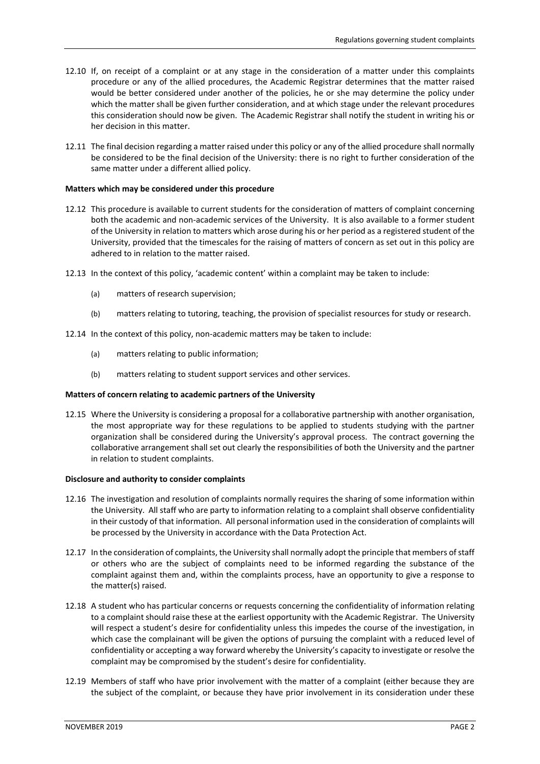- 12.10 If, on receipt of a complaint or at any stage in the consideration of a matter under this complaints procedure or any of the allied procedures, the Academic Registrar determines that the matter raised would be better considered under another of the policies, he or she may determine the policy under which the matter shall be given further consideration, and at which stage under the relevant procedures this consideration should now be given. The Academic Registrar shall notify the student in writing his or her decision in this matter.
- 12.11 The final decision regarding a matter raised under this policy or any of the allied procedure shall normally be considered to be the final decision of the University: there is no right to further consideration of the same matter under a different allied policy.

## **Matters which may be considered under this procedure**

- 12.12 This procedure is available to current students for the consideration of matters of complaint concerning both the academic and non-academic services of the University. It is also available to a former student of the University in relation to matters which arose during his or her period as a registered student of the University, provided that the timescales for the raising of matters of concern as set out in this policy are adhered to in relation to the matter raised.
- 12.13 In the context of this policy, 'academic content' within a complaint may be taken to include:
	- (a) matters of research supervision;
	- (b) matters relating to tutoring, teaching, the provision of specialist resources for study or research.
- 12.14 In the context of this policy, non-academic matters may be taken to include:
	- (a) matters relating to public information;
	- (b) matters relating to student support services and other services.

#### **Matters of concern relating to academic partners of the University**

12.15 Where the University is considering a proposal for a collaborative partnership with another organisation, the most appropriate way for these regulations to be applied to students studying with the partner organization shall be considered during the University's approval process. The contract governing the collaborative arrangement shall set out clearly the responsibilities of both the University and the partner in relation to student complaints.

#### **Disclosure and authority to consider complaints**

- 12.16 The investigation and resolution of complaints normally requires the sharing of some information within the University. All staff who are party to information relating to a complaint shall observe confidentiality in their custody of that information. All personal information used in the consideration of complaints will be processed by the University in accordance with the Data Protection Act.
- 12.17 In the consideration of complaints, the University shall normally adopt the principle that members of staff or others who are the subject of complaints need to be informed regarding the substance of the complaint against them and, within the complaints process, have an opportunity to give a response to the matter(s) raised.
- 12.18 A student who has particular concerns or requests concerning the confidentiality of information relating to a complaint should raise these at the earliest opportunity with the Academic Registrar. The University will respect a student's desire for confidentiality unless this impedes the course of the investigation, in which case the complainant will be given the options of pursuing the complaint with a reduced level of confidentiality or accepting a way forward whereby the University's capacity to investigate or resolve the complaint may be compromised by the student's desire for confidentiality.
- 12.19 Members of staff who have prior involvement with the matter of a complaint (either because they are the subject of the complaint, or because they have prior involvement in its consideration under these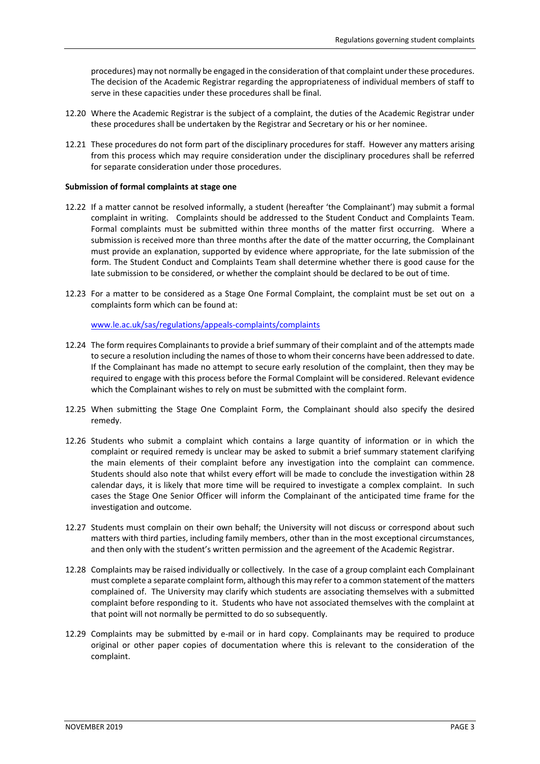procedures) may not normally be engaged in the consideration of that complaint under these procedures. The decision of the Academic Registrar regarding the appropriateness of individual members of staff to serve in these capacities under these procedures shall be final.

- 12.20 Where the Academic Registrar is the subject of a complaint, the duties of the Academic Registrar under these procedures shall be undertaken by the Registrar and Secretary or his or her nominee.
- 12.21 These procedures do not form part of the disciplinary procedures for staff. However any matters arising from this process which may require consideration under the disciplinary procedures shall be referred for separate consideration under those procedures.

## **Submission of formal complaints at stage one**

- 12.22 If a matter cannot be resolved informally, a student (hereafter 'the Complainant') may submit a formal complaint in writing. Complaints should be addressed to the Student Conduct and Complaints Team. Formal complaints must be submitted within three months of the matter first occurring. Where a submission is received more than three months after the date of the matter occurring, the Complainant must provide an explanation, supported by evidence where appropriate, for the late submission of the form. The Student Conduct and Complaints Team shall determine whether there is good cause for the late submission to be considered, or whether the complaint should be declared to be out of time.
- 12.23 For a matter to be considered as a Stage One Formal Complaint, the complaint must be set out on a complaints form which can be found at:

[www.le.ac.uk/sas/regulations/appeals-complaints/complaints](http://www.le.ac.uk/sas/regulations/appeals-complaints/complaints)

- 12.24 The form requires Complainants to provide a brief summary of their complaint and of the attempts made to secure a resolution including the names of those to whom their concerns have been addressed to date. If the Complainant has made no attempt to secure early resolution of the complaint, then they may be required to engage with this process before the Formal Complaint will be considered. Relevant evidence which the Complainant wishes to rely on must be submitted with the complaint form.
- 12.25 When submitting the Stage One Complaint Form, the Complainant should also specify the desired remedy.
- 12.26 Students who submit a complaint which contains a large quantity of information or in which the complaint or required remedy is unclear may be asked to submit a brief summary statement clarifying the main elements of their complaint before any investigation into the complaint can commence. Students should also note that whilst every effort will be made to conclude the investigation within 28 calendar days, it is likely that more time will be required to investigate a complex complaint. In such cases the Stage One Senior Officer will inform the Complainant of the anticipated time frame for the investigation and outcome.
- 12.27 Students must complain on their own behalf; the University will not discuss or correspond about such matters with third parties, including family members, other than in the most exceptional circumstances, and then only with the student's written permission and the agreement of the Academic Registrar.
- 12.28 Complaints may be raised individually or collectively. In the case of a group complaint each Complainant must complete a separate complaint form, although this may refer to a common statement of the matters complained of. The University may clarify which students are associating themselves with a submitted complaint before responding to it. Students who have not associated themselves with the complaint at that point will not normally be permitted to do so subsequently.
- 12.29 Complaints may be submitted by e-mail or in hard copy. Complainants may be required to produce original or other paper copies of documentation where this is relevant to the consideration of the complaint.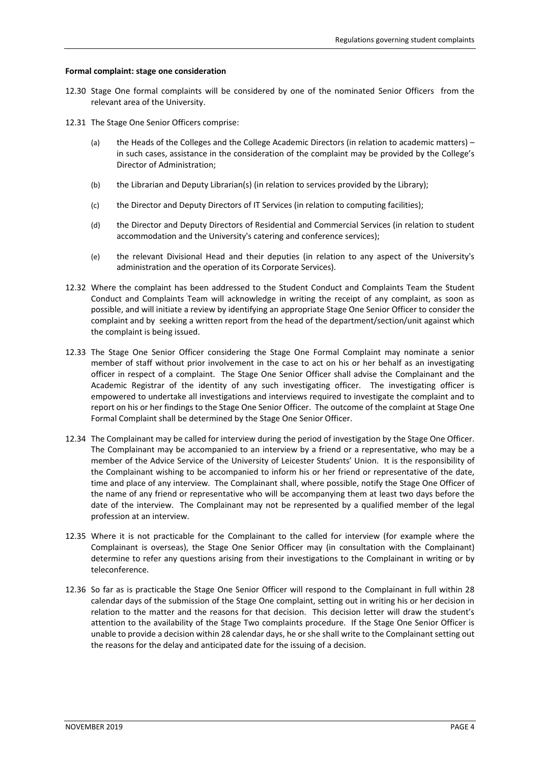#### **Formal complaint: stage one consideration**

- 12.30 Stage One formal complaints will be considered by one of the nominated Senior Officers from the relevant area of the University.
- 12.31 The Stage One Senior Officers comprise:
	- (a) the Heads of the Colleges and the College Academic Directors (in relation to academic matters) in such cases, assistance in the consideration of the complaint may be provided by the College's Director of Administration;
	- (b) the Librarian and Deputy Librarian(s) (in relation to services provided by the Library);
	- (c) the Director and Deputy Directors of IT Services (in relation to computing facilities);
	- (d) the Director and Deputy Directors of Residential and Commercial Services (in relation to student accommodation and the University's catering and conference services);
	- (e) the relevant Divisional Head and their deputies (in relation to any aspect of the University's administration and the operation of its Corporate Services).
- 12.32 Where the complaint has been addressed to the Student Conduct and Complaints Team the Student Conduct and Complaints Team will acknowledge in writing the receipt of any complaint, as soon as possible, and will initiate a review by identifying an appropriate Stage One Senior Officer to consider the complaint and by seeking a written report from the head of the department/section/unit against which the complaint is being issued.
- 12.33 The Stage One Senior Officer considering the Stage One Formal Complaint may nominate a senior member of staff without prior involvement in the case to act on his or her behalf as an investigating officer in respect of a complaint. The Stage One Senior Officer shall advise the Complainant and the Academic Registrar of the identity of any such investigating officer. The investigating officer is empowered to undertake all investigations and interviews required to investigate the complaint and to report on his or her findings to the Stage One Senior Officer. The outcome of the complaint at Stage One Formal Complaint shall be determined by the Stage One Senior Officer.
- 12.34 The Complainant may be called for interview during the period of investigation by the Stage One Officer. The Complainant may be accompanied to an interview by a friend or a representative, who may be a member of the Advice Service of the University of Leicester Students' Union. It is the responsibility of the Complainant wishing to be accompanied to inform his or her friend or representative of the date, time and place of any interview. The Complainant shall, where possible, notify the Stage One Officer of the name of any friend or representative who will be accompanying them at least two days before the date of the interview. The Complainant may not be represented by a qualified member of the legal profession at an interview.
- 12.35 Where it is not practicable for the Complainant to the called for interview (for example where the Complainant is overseas), the Stage One Senior Officer may (in consultation with the Complainant) determine to refer any questions arising from their investigations to the Complainant in writing or by teleconference.
- 12.36 So far as is practicable the Stage One Senior Officer will respond to the Complainant in full within 28 calendar days of the submission of the Stage One complaint, setting out in writing his or her decision in relation to the matter and the reasons for that decision. This decision letter will draw the student's attention to the availability of the Stage Two complaints procedure. If the Stage One Senior Officer is unable to provide a decision within 28 calendar days, he or she shall write to the Complainant setting out the reasons for the delay and anticipated date for the issuing of a decision.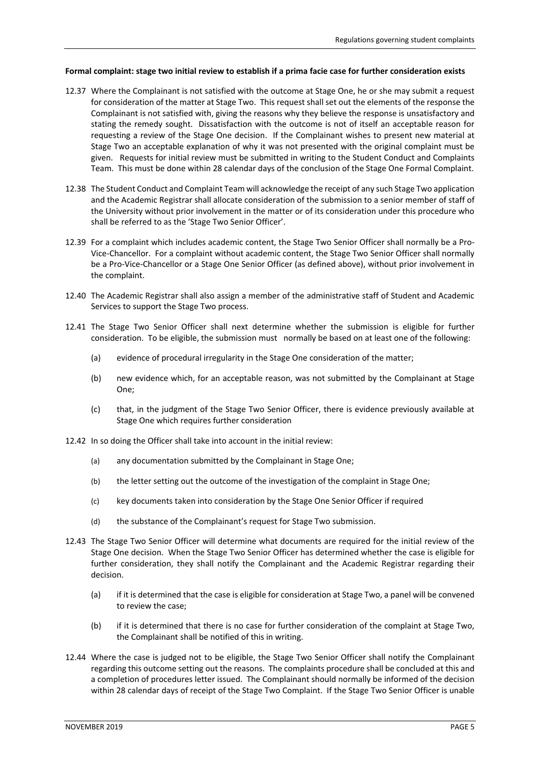### **Formal complaint: stage two initial review to establish if a prima facie case for further consideration exists**

- 12.37 Where the Complainant is not satisfied with the outcome at Stage One, he or she may submit a request for consideration of the matter at Stage Two. This request shall set out the elements of the response the Complainant is not satisfied with, giving the reasons why they believe the response is unsatisfactory and stating the remedy sought. Dissatisfaction with the outcome is not of itself an acceptable reason for requesting a review of the Stage One decision. If the Complainant wishes to present new material at Stage Two an acceptable explanation of why it was not presented with the original complaint must be given. Requests for initial review must be submitted in writing to the Student Conduct and Complaints Team. This must be done within 28 calendar days of the conclusion of the Stage One Formal Complaint.
- 12.38 The Student Conduct and Complaint Team will acknowledge the receipt of any such Stage Two application and the Academic Registrar shall allocate consideration of the submission to a senior member of staff of the University without prior involvement in the matter or of its consideration under this procedure who shall be referred to as the 'Stage Two Senior Officer'.
- 12.39 For a complaint which includes academic content, the Stage Two Senior Officer shall normally be a Pro-Vice-Chancellor. For a complaint without academic content, the Stage Two Senior Officer shall normally be a Pro-Vice-Chancellor or a Stage One Senior Officer (as defined above), without prior involvement in the complaint.
- 12.40 The Academic Registrar shall also assign a member of the administrative staff of Student and Academic Services to support the Stage Two process.
- 12.41 The Stage Two Senior Officer shall next determine whether the submission is eligible for further consideration. To be eligible, the submission must normally be based on at least one of the following:
	- (a) evidence of procedural irregularity in the Stage One consideration of the matter;
	- (b) new evidence which, for an acceptable reason, was not submitted by the Complainant at Stage One;
	- (c) that, in the judgment of the Stage Two Senior Officer, there is evidence previously available at Stage One which requires further consideration
- 12.42 In so doing the Officer shall take into account in the initial review:
	- (a) any documentation submitted by the Complainant in Stage One;
	- (b) the letter setting out the outcome of the investigation of the complaint in Stage One;
	- (c) key documents taken into consideration by the Stage One Senior Officer if required
	- (d) the substance of the Complainant's request for Stage Two submission.
- 12.43 The Stage Two Senior Officer will determine what documents are required for the initial review of the Stage One decision. When the Stage Two Senior Officer has determined whether the case is eligible for further consideration, they shall notify the Complainant and the Academic Registrar regarding their decision.
	- (a) if it is determined that the case is eligible for consideration at Stage Two, a panel will be convened to review the case;
	- (b) if it is determined that there is no case for further consideration of the complaint at Stage Two, the Complainant shall be notified of this in writing.
- 12.44 Where the case is judged not to be eligible, the Stage Two Senior Officer shall notify the Complainant regarding this outcome setting out the reasons. The complaints procedure shall be concluded at this and a completion of procedures letter issued. The Complainant should normally be informed of the decision within 28 calendar days of receipt of the Stage Two Complaint. If the Stage Two Senior Officer is unable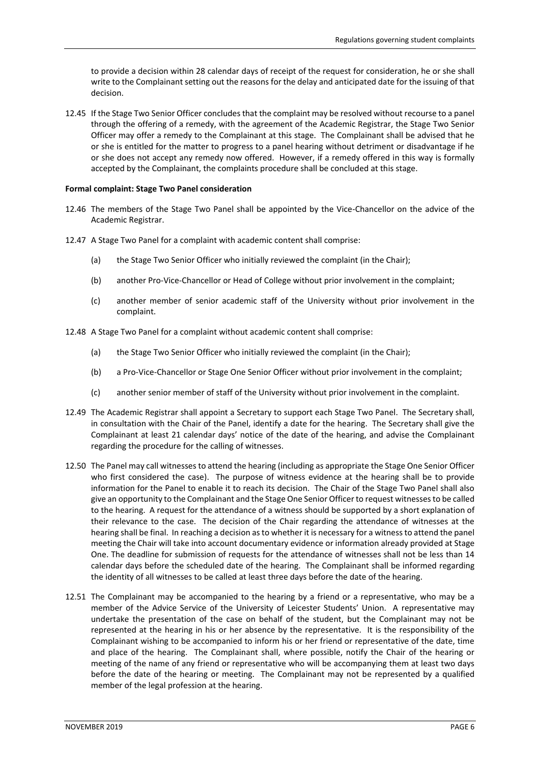to provide a decision within 28 calendar days of receipt of the request for consideration, he or she shall write to the Complainant setting out the reasons for the delay and anticipated date for the issuing of that decision.

12.45 If the Stage Two Senior Officer concludes that the complaint may be resolved without recourse to a panel through the offering of a remedy, with the agreement of the Academic Registrar, the Stage Two Senior Officer may offer a remedy to the Complainant at this stage. The Complainant shall be advised that he or she is entitled for the matter to progress to a panel hearing without detriment or disadvantage if he or she does not accept any remedy now offered. However, if a remedy offered in this way is formally accepted by the Complainant, the complaints procedure shall be concluded at this stage.

### **Formal complaint: Stage Two Panel consideration**

- 12.46 The members of the Stage Two Panel shall be appointed by the Vice-Chancellor on the advice of the Academic Registrar.
- 12.47 A Stage Two Panel for a complaint with academic content shall comprise:
	- (a) the Stage Two Senior Officer who initially reviewed the complaint (in the Chair);
	- (b) another Pro-Vice-Chancellor or Head of College without prior involvement in the complaint;
	- (c) another member of senior academic staff of the University without prior involvement in the complaint.
- 12.48 A Stage Two Panel for a complaint without academic content shall comprise:
	- (a) the Stage Two Senior Officer who initially reviewed the complaint (in the Chair);
	- (b) a Pro-Vice-Chancellor or Stage One Senior Officer without prior involvement in the complaint;
	- (c) another senior member of staff of the University without prior involvement in the complaint.
- 12.49 The Academic Registrar shall appoint a Secretary to support each Stage Two Panel. The Secretary shall, in consultation with the Chair of the Panel, identify a date for the hearing. The Secretary shall give the Complainant at least 21 calendar days' notice of the date of the hearing, and advise the Complainant regarding the procedure for the calling of witnesses.
- 12.50 The Panel may call witnesses to attend the hearing (including as appropriate the Stage One Senior Officer who first considered the case). The purpose of witness evidence at the hearing shall be to provide information for the Panel to enable it to reach its decision. The Chair of the Stage Two Panel shall also give an opportunity to the Complainant and the Stage One Senior Officer to request witnesses to be called to the hearing. A request for the attendance of a witness should be supported by a short explanation of their relevance to the case. The decision of the Chair regarding the attendance of witnesses at the hearing shall be final. In reaching a decision as to whether it is necessary for a witness to attend the panel meeting the Chair will take into account documentary evidence or information already provided at Stage One. The deadline for submission of requests for the attendance of witnesses shall not be less than 14 calendar days before the scheduled date of the hearing. The Complainant shall be informed regarding the identity of all witnesses to be called at least three days before the date of the hearing.
- 12.51 The Complainant may be accompanied to the hearing by a friend or a representative, who may be a member of the Advice Service of the University of Leicester Students' Union. A representative may undertake the presentation of the case on behalf of the student, but the Complainant may not be represented at the hearing in his or her absence by the representative. It is the responsibility of the Complainant wishing to be accompanied to inform his or her friend or representative of the date, time and place of the hearing. The Complainant shall, where possible, notify the Chair of the hearing or meeting of the name of any friend or representative who will be accompanying them at least two days before the date of the hearing or meeting. The Complainant may not be represented by a qualified member of the legal profession at the hearing.